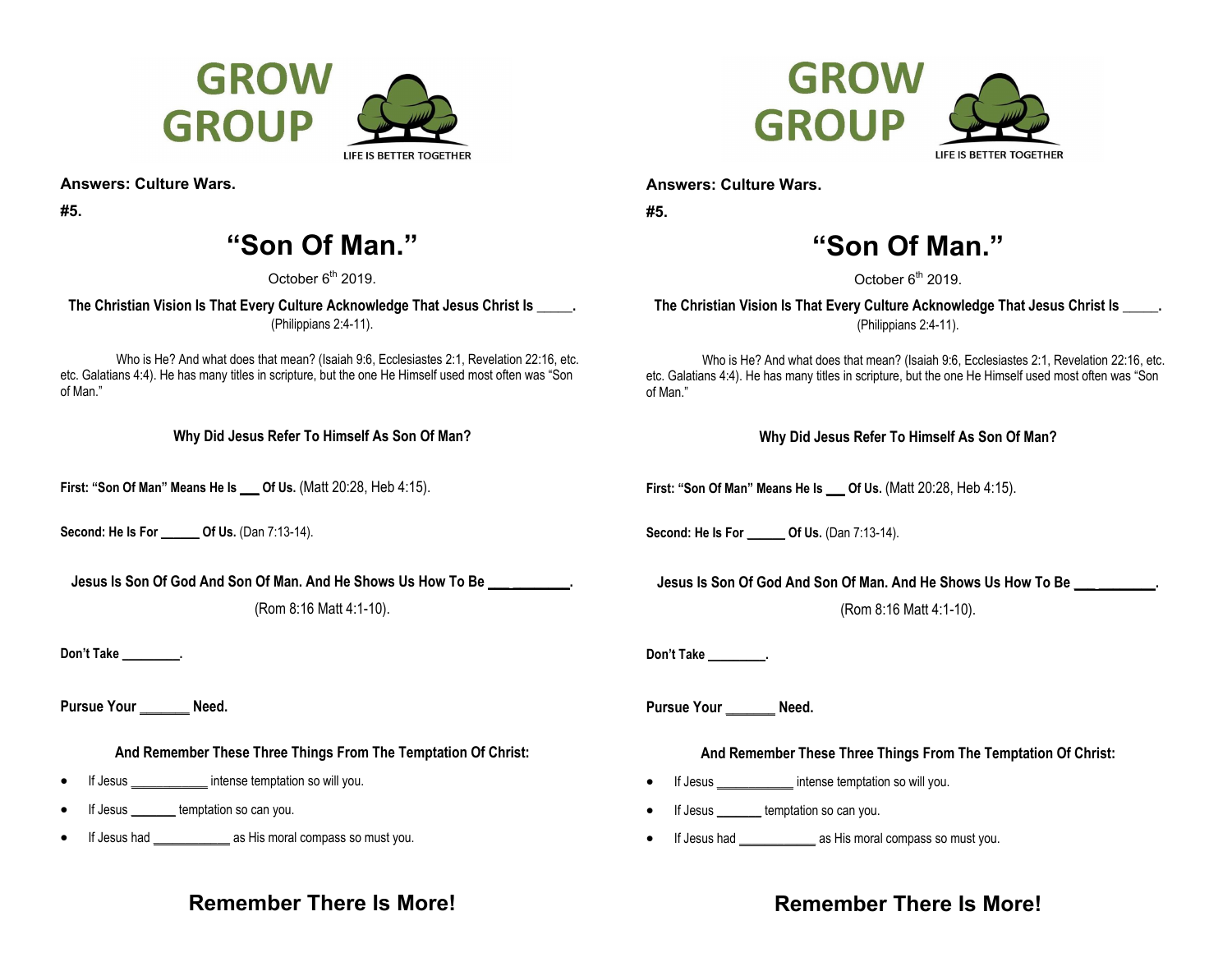



**Answers: Culture Wars.** 

**#5.** 

# **"Son Of Man."**

October 6<sup>th</sup> 2019.

**The Christian Vision Is That Every Culture Acknowledge That Jesus Christ Is \_\_\_\_\_.**  (Philippians 2:4-11).

Who is He? And what does that mean? (Isaiah 9:6, Ecclesiastes 2:1, Revelation 22:16, etc. etc. Galatians 4:4). He has many titles in scripture, but the one He Himself used most often was "Son of Man."

**Why Did Jesus Refer To Himself As Son Of Man?** 

**First: "Son Of Man" Means He Is \_\_\_ Of Us.** (Matt 20:28, Heb 4:15).

**Second: He Is For \_\_\_\_\_\_ Of Us.** (Dan 7:13-14).

**Jesus Is Son Of God And Son Of Man. And He Shows Us How To Be \_\_\_ \_\_\_\_\_\_\_\_.** 

(Rom 8:16 Matt 4:1-10).

Don't Take **was all** 

Pursue Your **Need.** 

**And Remember These Three Things From The Temptation Of Christ:** 

- $\bullet$ If Jesus \_\_\_\_\_\_\_\_\_\_\_\_ intense temptation so will you.
- $\bullet$ If Jesus **Leapter** temptation so can you.
- . If Jesus had \_\_\_\_\_\_\_\_\_\_\_\_ as His moral compass so must you.

**Answers: Culture Wars.** 

**#5.** 

# **"Son Of Man."**

October  $6<sup>th</sup>$  2019.

**The Christian Vision Is That Every Culture Acknowledge That Jesus Christ Is \_\_\_\_\_.**  (Philippians 2:4-11).

Who is He? And what does that mean? (Isaiah 9:6, Ecclesiastes 2:1, Revelation 22:16, etc. etc. Galatians 4:4). He has many titles in scripture, but the one He Himself used most often was "Son of Man."

**Why Did Jesus Refer To Himself As Son Of Man?** 

**First: "Son Of Man" Means He Is \_\_\_ Of Us.** (Matt 20:28, Heb 4:15).

**Second: He Is For Of Us.** (Dan 7:13-14).

**Jesus Is Son Of God And Son Of Man. And He Shows Us How To Be \_\_\_ \_\_\_\_\_\_\_\_.** 

(Rom 8:16 Matt 4:1-10).

**Don't Take \_\_\_\_\_\_\_\_\_.** 

Pursue Your **Need.** 

### **And Remember These Three Things From The Temptation Of Christ:**

- $\bullet$ If Jesus **intense temptation so will you.**
- $\bullet$ If Jesus \_\_\_\_\_\_\_ temptation so can you.
- $\bullet$ If Jesus had \_\_\_\_\_\_\_\_\_\_\_\_ as His moral compass so must you.

## **Remember There Is More!**

## **Remember There Is More!**